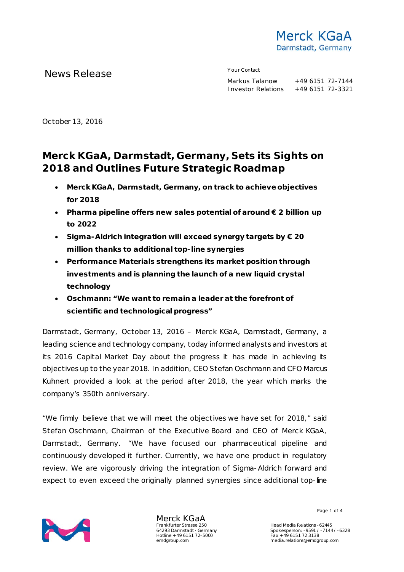

News Release The Contact Mews Release Markus Talanow

+49 6151 72-7144 Investor Relations +49 6151 72-3321

October 13, 2016

# **Merck KGaA, Darmstadt, Germany, Sets its Sights on 2018 and Outlines Future Strategic Roadmap**

- **Merck KGaA, Darmstadt, Germany, on track to achieve objectives for 2018**
- **Pharma pipeline offers new sales potential of around € 2 billion up to 2022**
- **Sigma-Aldrich integration will exceed synergy targets by € 20 million thanks to additional top-line synergies**
- **Performance Materials strengthens its market position through investments and is planning the launch of a new liquid crystal technology**
- **Oschmann: "We want to remain a leader at the forefront of scientific and technological progress"**

Darmstadt, Germany, October 13, 2016 – Merck KGaA, Darmstadt, Germany, a leading science and technology company, today informed analysts and investors at its 2016 Capital Market Day about the progress it has made in achieving its objectives up to the year 2018. In addition, CEO Stefan Oschmann and CFO Marcus Kuhnert provided a look at the period after 2018, the year which marks the company's 350th anniversary.

"We firmly believe that we will meet the objectives we have set for 2018," said Stefan Oschmann, Chairman of the Executive Board and CEO of Merck KGaA, Darmstadt, Germany. "We have focused our pharmaceutical pipeline and continuously developed it further. Currently, we have one product in regulatory review. We are vigorously driving the integration of Sigma-Aldrich forward and expect to even exceed the originally planned synergies since additional top-line



Merck KGaA Frankfurter Strasse 250 64293 Darmstadt · Germany Hotline +49 6151 72-5000 emdgroup.com

Page 1 of 4

Head Media Relations -62445 Spokesperson: -9591 / -7144 / -6328 Fax +49 6151 72 3138 media.relations@emdgroup.com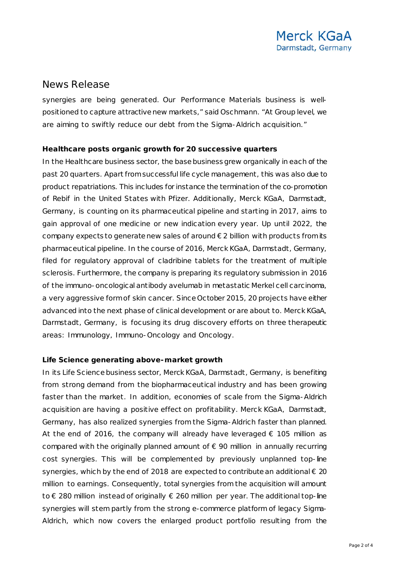### News Release

synergies are being generated. Our Performance Materials business is wellpositioned to capture attractive new markets," said Oschmann. "At Group level, we are aiming to swiftly reduce our debt from the Sigma-Aldrich acquisition."

#### **Healthcare posts organic growth for 20 successive quarters**

In the Healthcare business sector, the base business grew organically in each of the past 20 quarters. Apart from successful life cycle management, this was also due to product repatriations. This includes for instance the termination of the co-promotion of Rebif in the United States with Pfizer. Additionally, Merck KGaA, Darmstadt, Germany, is counting on its pharmaceutical pipeline and starting in 2017, aims to gain approval of one medicine or new indication every year. Up until 2022, the company expects to generate new sales of around  $\epsilon$  2 billion with products from its pharmaceutical pipeline. In the course of 2016, Merck KGaA, Darmstadt, Germany, filed for regulatory approval of cladribine tablets for the treatment of multiple sclerosis. Furthermore, the company is preparing its regulatory submission in 2016 of the immuno-oncological antibody avelumab in metastatic Merkel cell carcinoma, a very aggressive form of skin cancer. Since October 2015, 20 projects have either advanced into the next phase of clinical development or are about to. Merck KGaA, Darmstadt, Germany, is focusing its drug discovery efforts on three therapeutic areas: Immunology, Immuno-Oncology and Oncology.

#### **Life Science generating above-market growth**

In its Life Science business sector, Merck KGaA, Darmstadt, Germany, is benefiting from strong demand from the biopharmaceutical industry and has been growing faster than the market. In addition, economies of scale from the Sigma-Aldrich acquisition are having a positive effect on profitability. Merck KGaA, Darmstadt, Germany, has also realized synergies from the Sigma-Aldrich faster than planned. At the end of 2016, the company will already have leveraged  $\epsilon$  105 million as compared with the originally planned amount of  $\epsilon$  90 million in annually recurring cost synergies. This will be complemented by previously unplanned top-line synergies, which by the end of 2018 are expected to contribute an additional € 20 million to earnings. Consequently, total synergies from the acquisition will amount to € 280 million instead of originally € 260 million per year. The additional top-line synergies will stem partly from the strong e-commerce platform of legacy Sigma-Aldrich, which now covers the enlarged product portfolio resulting from the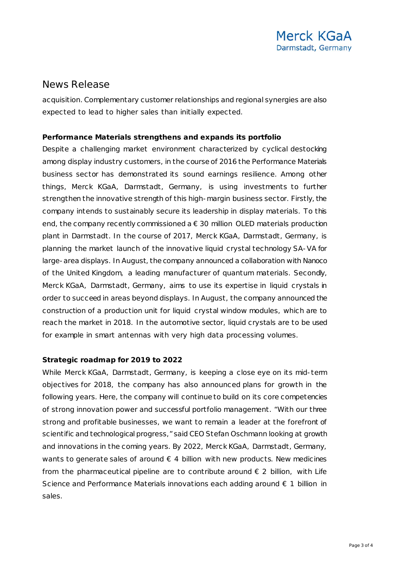### News Release

acquisition. Complementary customer relationships and regional synergies are also expected to lead to higher sales than initially expected.

### **Performance Materials strengthens and expands its portfolio**

Despite a challenging market environment characterized by cyclical destocking among display industry customers, in the course of 2016 the Performance Materials business sector has demonstrated its sound earnings resilience. Among other things, Merck KGaA, Darmstadt, Germany, is using investments to further strengthen the innovative strength of this high-margin business sector. Firstly, the company intends to sustainably secure its leadership in display materials. To this end, the company recently commissioned a  $\epsilon$  30 million OLED materials production plant in Darmstadt. In the course of 2017, Merck KGaA, Darmstadt, Germany, is planning the market launch of the innovative liquid crystal technology SA-VA for large-area displays. In August, the company announced a collaboration with Nanoco of the United Kingdom, a leading manufacturer of quantum materials. Secondly, Merck KGaA, Darmstadt, Germany, aims to use its expertise in liquid crystals in order to succeed in areas beyond displays. In August, the company announced the construction of a production unit for liquid crystal window modules, which are to reach the market in 2018. In the automotive sector, liquid crystals are to be used for example in smart antennas with very high data processing volumes.

### **Strategic roadmap for 2019 to 2022**

While Merck KGaA, Darmstadt, Germany, is keeping a close eye on its mid-term objectives for 2018, the company has also announced plans for growth in the following years. Here, the company will continue to build on its core competencies of strong innovation power and successful portfolio management. "With our three strong and profitable businesses, we want to remain a leader at the forefront of scientific and technological progress," said CEO Stefan Oschmann looking at growth and innovations in the coming years. By 2022, Merck KGaA, Darmstadt, Germany, wants to generate sales of around  $\epsilon$  4 billion with new products. New medicines from the pharmaceutical pipeline are to contribute around  $\epsilon$  2 billion, with Life Science and Performance Materials innovations each adding around  $\epsilon$  1 billion in sales.